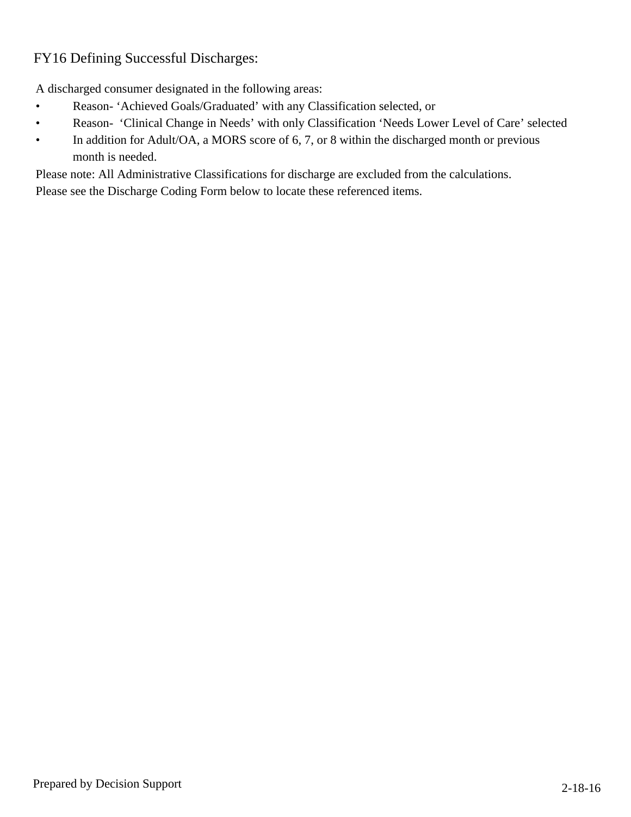## FY16 Defining Successful Discharges:

A discharged consumer designated in the following areas:

- Reason-'Achieved Goals/Graduated' with any Classification selected, or  $\bullet$
- Reason- 'Clinical Change in Needs' with only Classification 'Needs Lower Level of Care' selected  $\bullet$
- In addition for Adult/OA, a MORS score of 6, 7, or 8 within the discharged month or previous  $\bullet$ month is needed.

Please note: All Administrative Classifications for discharge are excluded from the calculations.

Please see the Discharge Coding Form below to locate these referenced items.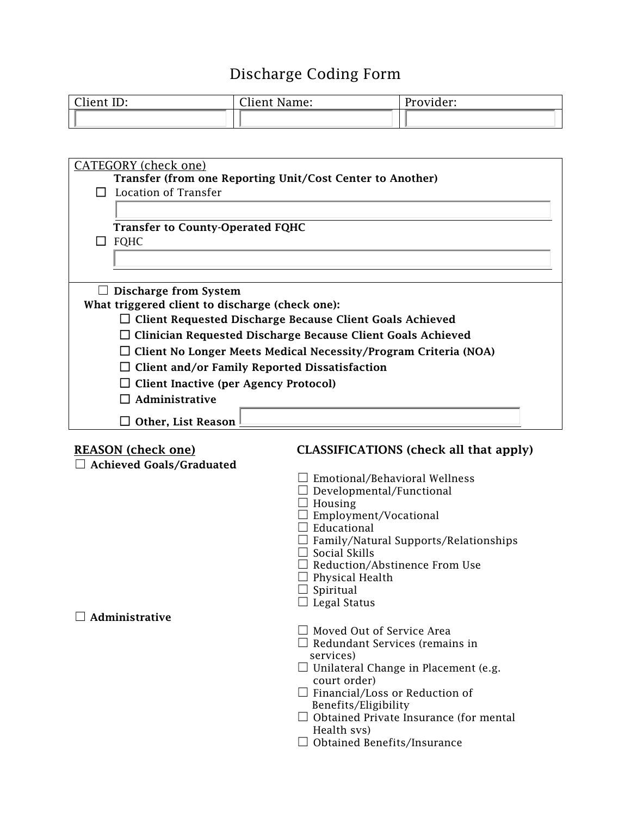## Discharge Coding Form

| Client ID: | Client Name: | Provider: |
|------------|--------------|-----------|
|            |              |           |

| <b>CATEGORY</b> (check one)                                            |                                                              |  |
|------------------------------------------------------------------------|--------------------------------------------------------------|--|
| Transfer (from one Reporting Unit/Cost Center to Another)              |                                                              |  |
| Location of Transfer                                                   |                                                              |  |
|                                                                        |                                                              |  |
| <b>Transfer to County-Operated FQHC</b>                                |                                                              |  |
| $\Box$ FQHC                                                            |                                                              |  |
|                                                                        |                                                              |  |
|                                                                        |                                                              |  |
| Discharge from System                                                  |                                                              |  |
| What triggered client to discharge (check one):                        |                                                              |  |
| $\Box$ Client Requested Discharge Because Client Goals Achieved        |                                                              |  |
| $\Box$ Clinician Requested Discharge Because Client Goals Achieved     |                                                              |  |
|                                                                        |                                                              |  |
| $\Box$ Client No Longer Meets Medical Necessity/Program Criteria (NOA) |                                                              |  |
| $\Box$ Client and/or Family Reported Dissatisfaction                   |                                                              |  |
| $\Box$ Client Inactive (per Agency Protocol)                           |                                                              |  |
| $\Box$ Administrative                                                  |                                                              |  |
| $\Box$ Other, List Reason                                              |                                                              |  |
|                                                                        |                                                              |  |
| <b>REASON (check one)</b>                                              | CLASSIFICATIONS (check all that apply)                       |  |
| <b>Achieved Goals/Graduated</b>                                        | $\Box$ Emotional/Behavioral Wellness                         |  |
|                                                                        | $\Box$ Developmental/Functional                              |  |
|                                                                        | $\Box$ Housing                                               |  |
|                                                                        | $\Box$ Employment/Vocational                                 |  |
|                                                                        | $\Box$ Educational                                           |  |
|                                                                        | $\Box$ Family/Natural Supports/Relationships                 |  |
|                                                                        | $\Box$ Social Skills<br>$\Box$ Reduction/Abstinence From Use |  |
|                                                                        | $\Box$ Physical Health                                       |  |
|                                                                        | $\exists$ Spiritual                                          |  |
|                                                                        | $\Box$ Legal Status                                          |  |
| $\Box$ Administrative                                                  |                                                              |  |
|                                                                        | $\Box$ Moved Out of Service Area                             |  |
|                                                                        | $\Box$ Redundant Services (remains in                        |  |
|                                                                        |                                                              |  |
|                                                                        | services)                                                    |  |
|                                                                        | $\Box$ Unilateral Change in Placement (e.g.<br>court order)  |  |
|                                                                        | $\Box$ Financial/Loss or Reduction of                        |  |
|                                                                        | Benefits/Eligibility                                         |  |
|                                                                        | $\Box$ Obtained Private Insurance (for mental                |  |
|                                                                        | Health svs)<br>$\Box$ Obtained Benefits/Insurance            |  |